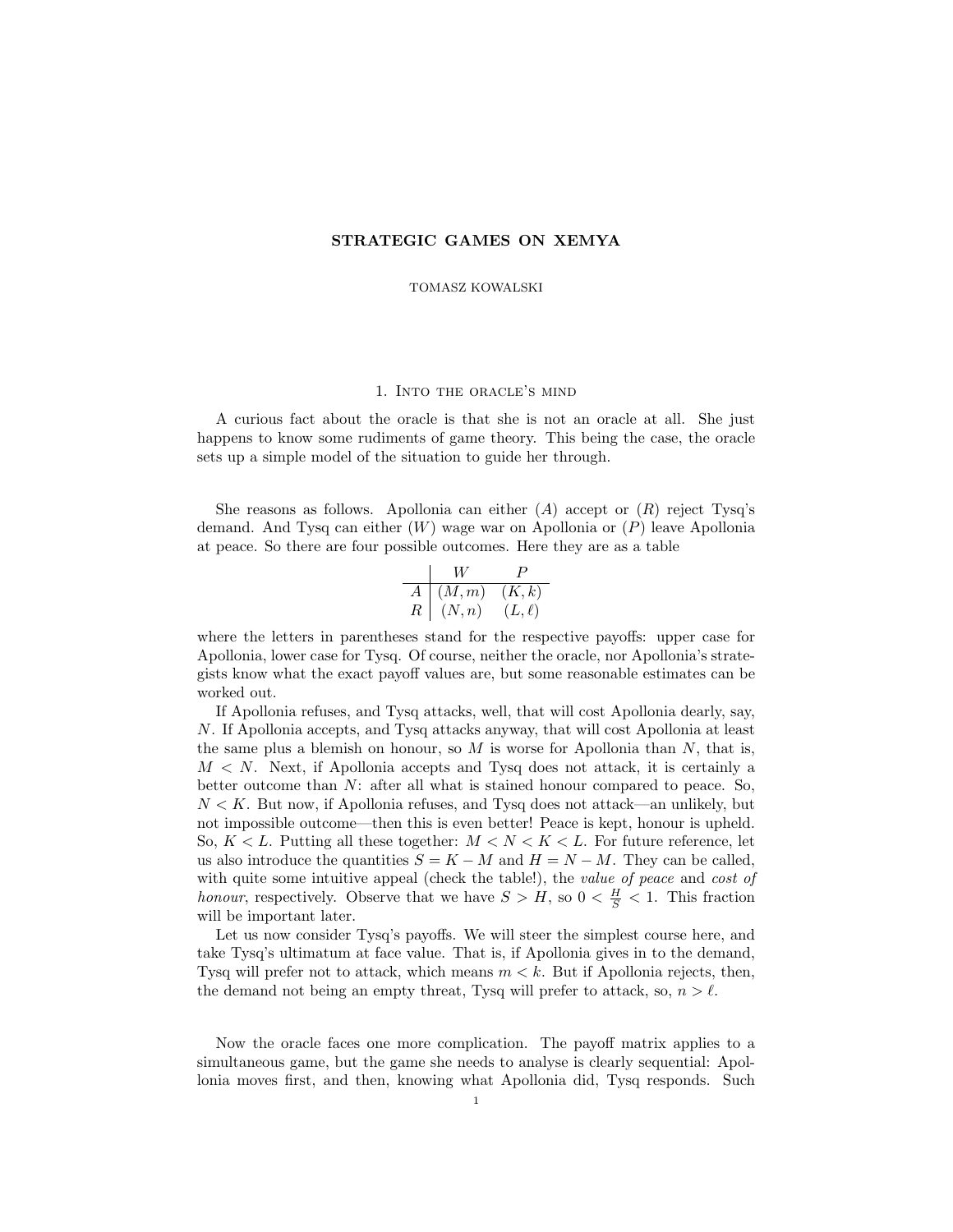## STRATEGIC GAMES ON XEMYA

TOMASZ KOWALSKI

## 1. Into the oracle's mind

A curious fact about the oracle is that she is not an oracle at all. She just happens to know some rudiments of game theory. This being the case, the oracle sets up a simple model of the situation to guide her through.

She reasons as follows. Apollonia can either  $(A)$  accept or  $(R)$  reject Tysq's demand. And Tysq can either (W) wage war on Apollonia or (P) leave Apollonia at peace. So there are four possible outcomes. Here they are as a table

$$
\begin{array}{c|cc} & W & P \\ \hline A & (M,m) & (K,k) \\ R & (N,n) & (L,\ell) \end{array}
$$

where the letters in parentheses stand for the respective payoffs: upper case for Apollonia, lower case for Tysq. Of course, neither the oracle, nor Apollonia's strategists know what the exact payoff values are, but some reasonable estimates can be worked out.

If Apollonia refuses, and Tysq attacks, well, that will cost Apollonia dearly, say, N. If Apollonia accepts, and Tysq attacks anyway, that will cost Apollonia at least the same plus a blemish on honour, so  $M$  is worse for Apollonia than  $N$ , that is,  $M < N$ . Next, if Apollonia accepts and Tysq does not attack, it is certainly a better outcome than N: after all what is stained honour compared to peace. So,  $N < K$ . But now, if Apollonia refuses, and Tysq does not attack—an unlikely, but not impossible outcome—then this is even better! Peace is kept, honour is upheld. So,  $K < L$ . Putting all these together:  $M < N < K < L$ . For future reference, let us also introduce the quantities  $S = K - M$  and  $H = N - M$ . They can be called, with quite some intuitive appeal (check the table!), the value of peace and cost of honour, respectively. Observe that we have  $S > H$ , so  $0 < \frac{H}{S} < 1$ . This fraction will be important later.

Let us now consider Tysq's payoffs. We will steer the simplest course here, and take Tysq's ultimatum at face value. That is, if Apollonia gives in to the demand, Tysq will prefer not to attack, which means  $m < k$ . But if Apollonia rejects, then, the demand not being an empty threat, Tysq will prefer to attack, so,  $n > l$ .

Now the oracle faces one more complication. The payoff matrix applies to a simultaneous game, but the game she needs to analyse is clearly sequential: Apollonia moves first, and then, knowing what Apollonia did, Tysq responds. Such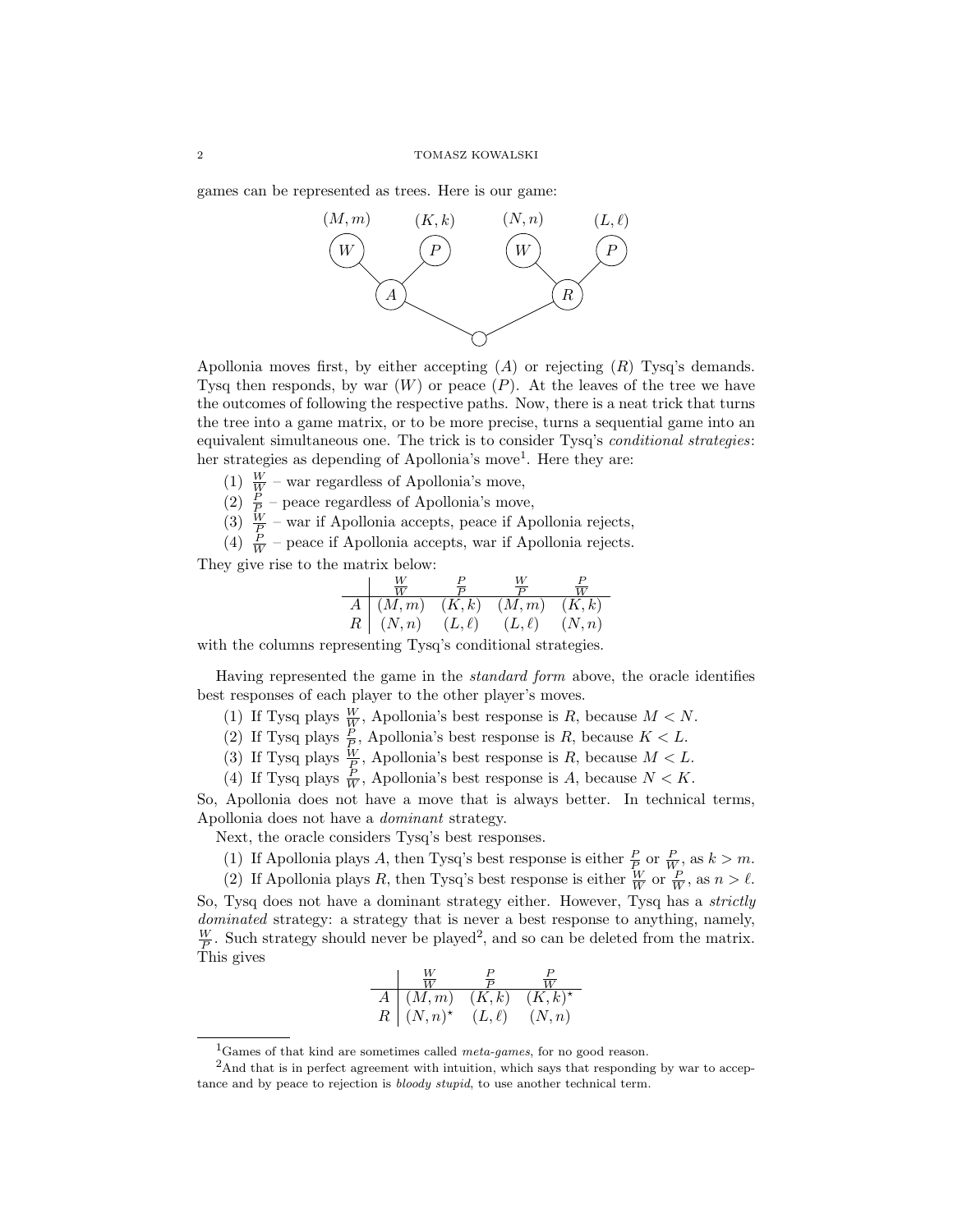games can be represented as trees. Here is our game:



Apollonia moves first, by either accepting  $(A)$  or rejecting  $(R)$  Tysq's demands. Tysq then responds, by war  $(W)$  or peace  $(P)$ . At the leaves of the tree we have the outcomes of following the respective paths. Now, there is a neat trick that turns the tree into a game matrix, or to be more precise, turns a sequential game into an equivalent simultaneous one. The trick is to consider Tysq's conditional strategies: her strategies as depending of Apollonia's move<sup>1</sup>. Here they are:

- (1)  $\frac{W}{W}$  war regardless of Apollonia's move,
- (2)  $\frac{P}{P}$  peace regardless of Apollonia's move,
- (3)  $\frac{W}{P}$  war if Apollonia accepts, peace if Apollonia rejects,

(4)  $\frac{P}{W}$  – peace if Apollonia accepts, war if Apollonia rejects.

They give rise to the matrix below:

$$
\begin{array}{c|cc}\n & \frac{W}{W} & \frac{P}{P} & \frac{W}{P} & \frac{P}{W} \\
\hline\nA & (M,m) & (K,k) & (M,m) & (K,k) \\
R & (N,n) & (L,\ell) & (L,\ell) & (N,n)\n\end{array}
$$

with the columns representing Tysq's conditional strategies.

Having represented the game in the standard form above, the oracle identifies best responses of each player to the other player's moves.

- (1) If Tysq plays  $\frac{W}{W}$ , Apollonia's best response is R, because  $M < N$ .
- (2) If Tysq plays  $\frac{P}{P}$ , Apollonia's best response is R, because  $K < L$ .
- (3) If Tysq plays  $\frac{W}{P}$ , Apollonia's best response is R, because  $M < L$ .
- (4) If Tysq plays  $\frac{P}{W}$ , Apollonia's best response is A, because  $N < K$ .

So, Apollonia does not have a move that is always better. In technical terms, Apollonia does not have a dominant strategy.

Next, the oracle considers Tysq's best responses.

- (1) If Apollonia plays A, then Tysq's best response is either  $\frac{P}{P}$  or  $\frac{P}{W}$ , as  $k > m$ .
- (2) If Apollonia plays R, then Tysq's best response is either  $\frac{W}{W}$  or  $\frac{P}{W}$ , as  $n > \ell$ .

So, Tysq does not have a dominant strategy either. However, Tysq has a *strictly* dominated strategy: a strategy that is never a best response to anything, namely,  $\frac{W}{P}$ . Such strategy should never be played<sup>2</sup>, and so can be deleted from the matrix. This gives

$$
\begin{array}{c|cc}\n & \frac{W}{W} & \frac{P}{P} & \frac{P}{W} \\
\hline\nA & (M,m) & (K,k) & (K,k)^{\star} \\
R & (N,n)^{\star} & (L,\ell) & (N,n)\n\end{array}
$$

<sup>&</sup>lt;sup>1</sup>Games of that kind are sometimes called *meta-games*, for no good reason.

<sup>&</sup>lt;sup>2</sup>And that is in perfect agreement with intuition, which says that responding by war to acceptance and by peace to rejection is *bloody stupid*, to use another technical term.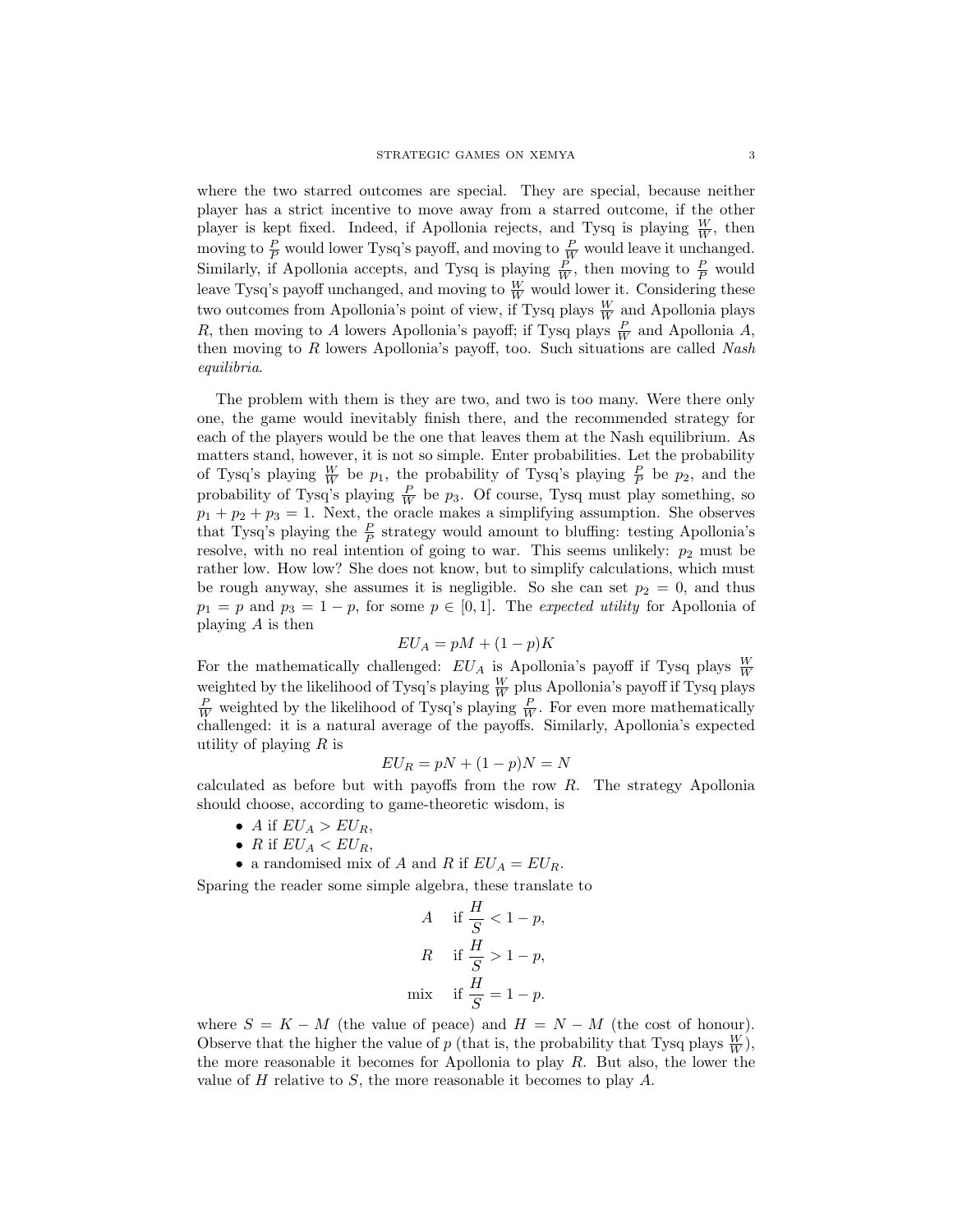where the two starred outcomes are special. They are special, because neither player has a strict incentive to move away from a starred outcome, if the other player is kept fixed. Indeed, if Apollonia rejects, and Tysq is playing  $\frac{W}{W}$ , then moving to  $\frac{P}{P}$  would lower Tysq's payoff, and moving to  $\frac{P}{W}$  would leave it unchanged. Similarly, if Apollonia accepts, and Tysq is playing  $\frac{P}{W}$ , then moving to  $\frac{P}{P}$  would leave Tysq's payoff unchanged, and moving to  $\frac{W}{W}$  would lower it. Considering these two outcomes from Apollonia's point of view, if Tysq plays  $\frac{W}{W}$  and Apollonia plays R, then moving to A lowers Apollonia's payoff; if Tysq plays  $\frac{P}{W}$  and Apollonia A, then moving to  $R$  lowers Apollonia's payoff, too. Such situations are called Nash equilibria.

The problem with them is they are two, and two is too many. Were there only one, the game would inevitably finish there, and the recommended strategy for each of the players would be the one that leaves them at the Nash equilibrium. As matters stand, however, it is not so simple. Enter probabilities. Let the probability of Tysq's playing  $\frac{W}{W}$  be  $p_1$ , the probability of Tysq's playing  $\frac{P}{P}$  be  $p_2$ , and the probability of Tysq's playing  $\frac{P}{W}$  be  $p_3$ . Of course, Tysq must play something, so  $p_1 + p_2 + p_3 = 1$ . Next, the oracle makes a simplifying assumption. She observes that Tysq's playing the  $\frac{P}{P}$  strategy would amount to bluffing: testing Apollonia's resolve, with no real intention of going to war. This seems unlikely:  $p_2$  must be rather low. How low? She does not know, but to simplify calculations, which must be rough anyway, she assumes it is negligible. So she can set  $p_2 = 0$ , and thus  $p_1 = p$  and  $p_3 = 1 - p$ , for some  $p \in [0, 1]$ . The *expected utility* for Apollonia of playing A is then

# $EU_A = pM + (1-p)K$

For the mathematically challenged:  $EU_A$  is Apollonia's payoff if Tysq plays  $\frac{W}{W}$ weighted by the likelihood of Tysq's playing  $\frac{W}{W}$  plus Apollonia's payoff if Tysq plays  $\frac{P}{W}$  weighted by the likelihood of Tysq's playing  $\frac{P}{W}$ . For even more mathematically challenged: it is a natural average of the payoffs. Similarly, Apollonia's expected utility of playing  $R$  is

$$
EU_R = pN + (1 - p)N = N
$$

calculated as before but with payoffs from the row R. The strategy Apollonia should choose, according to game-theoretic wisdom, is

- A if  $EU_A > EU_R$ ,
- R if  $EU_A < EU_R$ ,
- a randomised mix of A and R if  $EU_A = EU_R$ .

Sparing the reader some simple algebra, these translate to

$$
A \quad \text{if } \frac{H}{S} < 1 - p,
$$
\n
$$
R \quad \text{if } \frac{H}{S} > 1 - p,
$$
\n
$$
\text{mix} \quad \text{if } \frac{H}{S} = 1 - p.
$$

where  $S = K - M$  (the value of peace) and  $H = N - M$  (the cost of honour). Observe that the higher the value of p (that is, the probability that Tysq plays  $\frac{W}{W}$ ), the more reasonable it becomes for Apollonia to play R. But also, the lower the value of  $H$  relative to  $S$ , the more reasonable it becomes to play  $A$ .